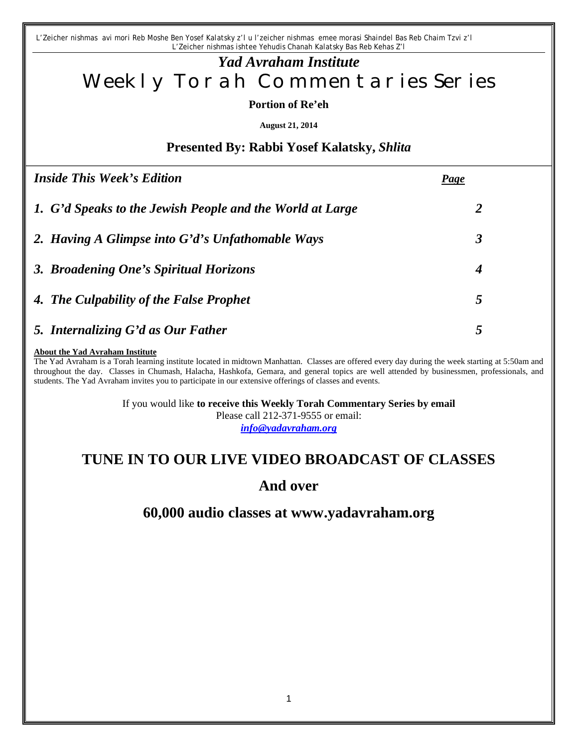*L'Zeicher nishmas avi mori Reb Moshe Ben Yosef Kalatsky z'l u l'zeicher nishmas emee morasi Shaindel Bas Reb Chaim Tzvi z'l L'Zeicher nishmas ishtee Yehudis Chanah Kalatsky Bas Reb Kehas Z'l*

# *Yad Avraham Institute* Weekly Torah Commentaries Series

**Portion of Re'eh**

**August 21, 2014**

## **Presented By: Rabbi Yosef Kalatsky,** *Shlita*

| <i>Inside This Week's Edition</i>                         | <u>Page</u>          |
|-----------------------------------------------------------|----------------------|
| 1. G'd Speaks to the Jewish People and the World at Large | 2                    |
| 2. Having A Glimpse into G'd's Unfathomable Ways          | $\boldsymbol{\beta}$ |
| 3. Broadening One's Spiritual Horizons                    | 4                    |
| 4. The Culpability of the False Prophet                   | 5                    |
| 5. Internalizing G'd as Our Father                        | 5                    |

#### **About the Yad Avraham Institute**

The Yad Avraham is a Torah learning institute located in midtown Manhattan. Classes are offered every day during the week starting at 5:50am and throughout the day. Classes in Chumash, Halacha, Hashkofa, Gemara, and general topics are well attended by businessmen, professionals, and students. The Yad Avraham invites you to participate in our extensive offerings of classes and events.

If you would like **to receive this Weekly Torah Commentary Series by email**

Please call 212-371-9555 or email:

*info@yadavraham.org*

# **TUNE IN TO OUR LIVE VIDEO BROADCAST OF CLASSES**

## **And over**

## **60,000 audio classes at www.yadavraham.org**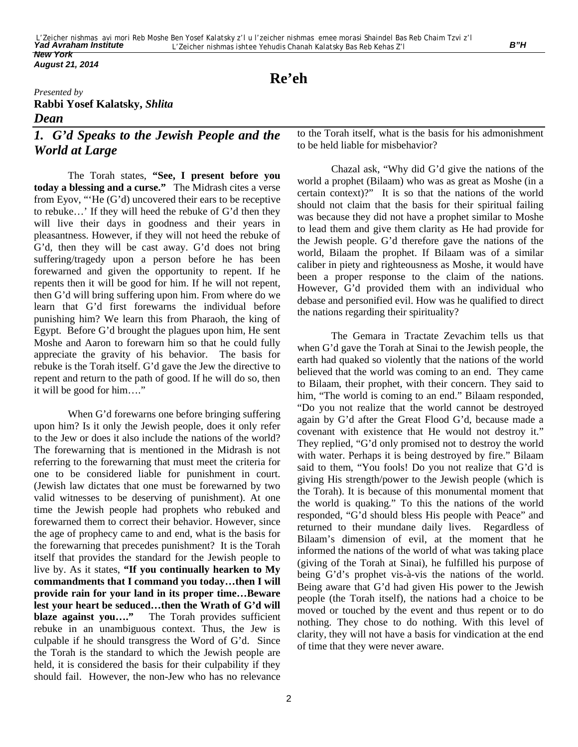*August 21, 2014*

# **Re'eh**

### *Presented by* **Rabbi Yosef Kalatsky,** *Shlita Dean*

## *1. G'd Speaks to the Jewish People and the World at Large*

The Torah states, **"See, I present before you today a blessing and a curse."** The Midrash cites a verse from Eyov, "'He (G'd) uncovered their ears to be receptive to rebuke…' If they will heed the rebuke of G'd then they will live their days in goodness and their years in pleasantness. However, if they will not heed the rebuke of G'd, then they will be cast away. G'd does not bring suffering/tragedy upon a person before he has been forewarned and given the opportunity to repent. If he repents then it will be good for him. If he will not repent, then G'd will bring suffering upon him. From where do we learn that G'd first forewarns the individual before punishing him? We learn this from Pharaoh, the king of Egypt. Before G'd brought the plagues upon him, He sent Moshe and Aaron to forewarn him so that he could fully appreciate the gravity of his behavior. The basis for rebuke is the Torah itself. G'd gave the Jew the directive to repent and return to the path of good. If he will do so, then it will be good for him…."

When G'd forewarns one before bringing suffering upon him? Is it only the Jewish people, does it only refer to the Jew or does it also include the nations of the world? The forewarning that is mentioned in the Midrash is not referring to the forewarning that must meet the criteria for one to be considered liable for punishment in court. (Jewish law dictates that one must be forewarned by two valid witnesses to be deserving of punishment). At one time the Jewish people had prophets who rebuked and forewarned them to correct their behavior. However, since the age of prophecy came to and end, what is the basis for the forewarning that precedes punishment? It is the Torah itself that provides the standard for the Jewish people to live by. As it states, **"If you continually hearken to My commandments that I command you today…then I will provide rain for your land in its proper time…Beware lest your heart be seduced…then the Wrath of G'd will blaze against you...."** The Torah provides sufficient rebuke in an unambiguous context. Thus, the Jew is culpable if he should transgress the Word of G'd. Since the Torah is the standard to which the Jewish people are held, it is considered the basis for their culpability if they should fail. However, the non-Jew who has no relevance to the Torah itself, what is the basis for his admonishment to be held liable for misbehavior?

Chazal ask, "Why did G'd give the nations of the world a prophet (Bilaam) who was as great as Moshe (in a certain context)?" It is so that the nations of the world should not claim that the basis for their spiritual failing was because they did not have a prophet similar to Moshe to lead them and give them clarity as He had provide for the Jewish people. G'd therefore gave the nations of the world, Bilaam the prophet. If Bilaam was of a similar caliber in piety and righteousness as Moshe, it would have been a proper response to the claim of the nations. However, G'd provided them with an individual who debase and personified evil. How was he qualified to direct the nations regarding their spirituality?

The Gemara in Tractate Zevachim tells us that when G'd gave the Torah at Sinai to the Jewish people, the earth had quaked so violently that the nations of the world believed that the world was coming to an end. They came to Bilaam, their prophet, with their concern. They said to him, "The world is coming to an end." Bilaam responded, "Do you not realize that the world cannot be destroyed again by G'd after the Great Flood G'd, because made a covenant with existence that He would not destroy it." They replied, "G'd only promised not to destroy the world with water. Perhaps it is being destroyed by fire." Bilaam said to them, "You fools! Do you not realize that G'd is giving His strength/power to the Jewish people (which is the Torah). It is because of this monumental moment that the world is quaking." To this the nations of the world responded, "G'd should bless His people with Peace" and returned to their mundane daily lives. Regardless of Bilaam's dimension of evil, at the moment that he informed the nations of the world of what was taking place (giving of the Torah at Sinai), he fulfilled his purpose of being G'd's prophet vis-à-vis the nations of the world. Being aware that G'd had given His power to the Jewish people (the Torah itself), the nations had a choice to be moved or touched by the event and thus repent or to do nothing. They chose to do nothing. With this level of clarity, they will not have a basis for vindication at the end of time that they were never aware.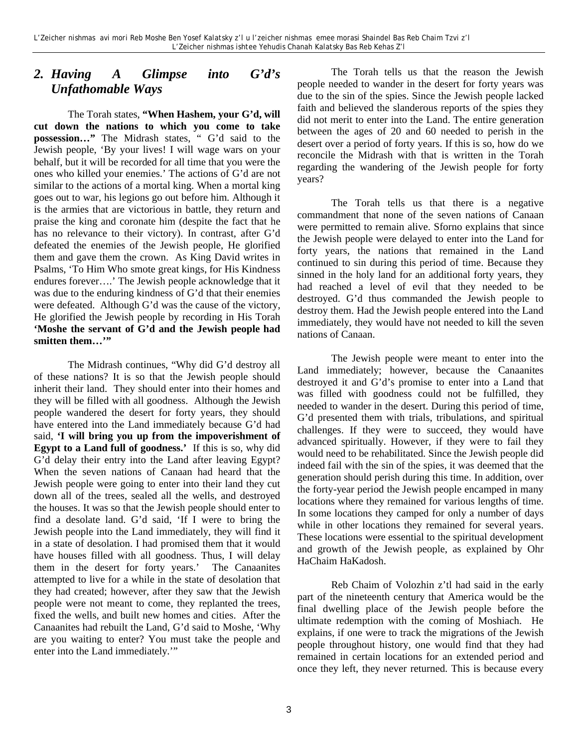## *2. Having A Glimpse into G'd's Unfathomable Ways*

The Torah states, **"When Hashem, your G'd, will cut down the nations to which you come to take possession…"** The Midrash states, " G'd said to the Jewish people, 'By your lives! I will wage wars on your behalf, but it will be recorded for all time that you were the ones who killed your enemies.' The actions of G'd are not similar to the actions of a mortal king. When a mortal king goes out to war, his legions go out before him. Although it is the armies that are victorious in battle, they return and praise the king and coronate him (despite the fact that he has no relevance to their victory). In contrast, after G'd defeated the enemies of the Jewish people, He glorified them and gave them the crown. As King David writes in Psalms, 'To Him Who smote great kings, for His Kindness endures forever….' The Jewish people acknowledge that it was due to the enduring kindness of G'd that their enemies were defeated. Although G'd was the cause of the victory, He glorified the Jewish people by recording in His Torah **'Moshe the servant of G'd and the Jewish people had**  smitten them..."

The Midrash continues, "Why did G'd destroy all of these nations? It is so that the Jewish people should inherit their land. They should enter into their homes and they will be filled with all goodness. Although the Jewish people wandered the desert for forty years, they should have entered into the Land immediately because G'd had said, **'I will bring you up from the impoverishment of Egypt to a Land full of goodness.'** If this is so, why did G'd delay their entry into the Land after leaving Egypt? When the seven nations of Canaan had heard that the Jewish people were going to enter into their land they cut down all of the trees, sealed all the wells, and destroyed the houses. It was so that the Jewish people should enter to find a desolate land. G'd said, 'If I were to bring the Jewish people into the Land immediately, they will find it in a state of desolation. I had promised them that it would have houses filled with all goodness. Thus, I will delay them in the desert for forty years.' The Canaanites attempted to live for a while in the state of desolation that they had created; however, after they saw that the Jewish people were not meant to come, they replanted the trees, fixed the wells, and built new homes and cities. After the Canaanites had rebuilt the Land, G'd said to Moshe, 'Why are you waiting to enter? You must take the people and enter into the Land immediately.'"

The Torah tells us that the reason the Jewish people needed to wander in the desert for forty years was due to the sin of the spies. Since the Jewish people lacked faith and believed the slanderous reports of the spies they did not merit to enter into the Land. The entire generation between the ages of 20 and 60 needed to perish in the desert over a period of forty years. If this is so, how do we reconcile the Midrash with that is written in the Torah regarding the wandering of the Jewish people for forty years?

The Torah tells us that there is a negative commandment that none of the seven nations of Canaan were permitted to remain alive. Sforno explains that since the Jewish people were delayed to enter into the Land for forty years, the nations that remained in the Land continued to sin during this period of time. Because they sinned in the holy land for an additional forty years, they had reached a level of evil that they needed to be destroyed. G'd thus commanded the Jewish people to destroy them. Had the Jewish people entered into the Land immediately, they would have not needed to kill the seven nations of Canaan.

The Jewish people were meant to enter into the Land immediately; however, because the Canaanites destroyed it and G'd's promise to enter into a Land that was filled with goodness could not be fulfilled, they needed to wander in the desert. During this period of time, G'd presented them with trials, tribulations, and spiritual challenges. If they were to succeed, they would have advanced spiritually. However, if they were to fail they would need to be rehabilitated. Since the Jewish people did indeed fail with the sin of the spies, it was deemed that the generation should perish during this time. In addition, over the forty-year period the Jewish people encamped in many locations where they remained for various lengths of time. In some locations they camped for only a number of days while in other locations they remained for several years. These locations were essential to the spiritual development and growth of the Jewish people, as explained by Ohr HaChaim HaKadosh.

Reb Chaim of Volozhin z'tl had said in the early part of the nineteenth century that America would be the final dwelling place of the Jewish people before the ultimate redemption with the coming of Moshiach. He explains, if one were to track the migrations of the Jewish people throughout history, one would find that they had remained in certain locations for an extended period and once they left, they never returned. This is because every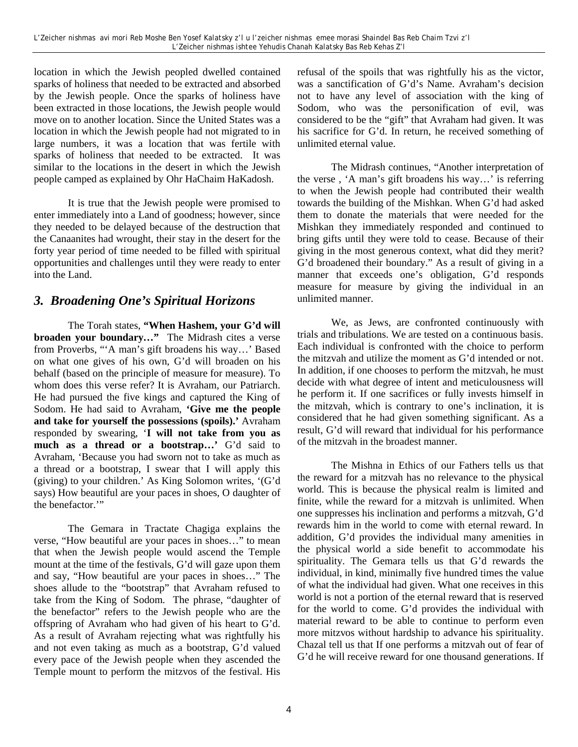location in which the Jewish peopled dwelled contained sparks of holiness that needed to be extracted and absorbed by the Jewish people. Once the sparks of holiness have been extracted in those locations, the Jewish people would move on to another location. Since the United States was a location in which the Jewish people had not migrated to in large numbers, it was a location that was fertile with sparks of holiness that needed to be extracted. It was similar to the locations in the desert in which the Jewish people camped as explained by Ohr HaChaim HaKadosh.

It is true that the Jewish people were promised to enter immediately into a Land of goodness; however, since they needed to be delayed because of the destruction that the Canaanites had wrought, their stay in the desert for the forty year period of time needed to be filled with spiritual opportunities and challenges until they were ready to enter into the Land.

## *3. Broadening One's Spiritual Horizons*

The Torah states, **"When Hashem, your G'd will broaden your boundary…"** The Midrash cites a verse from Proverbs, "'A man's gift broadens his way…' Based on what one gives of his own, G'd will broaden on his behalf (based on the principle of measure for measure). To whom does this verse refer? It is Avraham, our Patriarch. He had pursued the five kings and captured the King of Sodom. He had said to Avraham, **'Give me the people and take for yourself the possessions (spoils).'** Avraham responded by swearing, '**I will not take from you as much as a thread or a bootstrap…'** G'd said to Avraham, 'Because you had sworn not to take as much as a thread or a bootstrap, I swear that I will apply this (giving) to your children.' As King Solomon writes, '(G'd says) How beautiful are your paces in shoes, O daughter of the benefactor."

The Gemara in Tractate Chagiga explains the verse, "How beautiful are your paces in shoes…" to mean that when the Jewish people would ascend the Temple mount at the time of the festivals, G'd will gaze upon them and say, "How beautiful are your paces in shoes…" The shoes allude to the "bootstrap" that Avraham refused to take from the King of Sodom. The phrase, "daughter of the benefactor" refers to the Jewish people who are the offspring of Avraham who had given of his heart to G'd. As a result of Avraham rejecting what was rightfully his and not even taking as much as a bootstrap, G'd valued every pace of the Jewish people when they ascended the Temple mount to perform the mitzvos of the festival. His refusal of the spoils that was rightfully his as the victor, was a sanctification of G'd's Name. Avraham's decision not to have any level of association with the king of Sodom, who was the personification of evil, was considered to be the "gift" that Avraham had given. It was his sacrifice for G'd. In return, he received something of unlimited eternal value.

The Midrash continues, "Another interpretation of the verse , 'A man's gift broadens his way…' is referring to when the Jewish people had contributed their wealth towards the building of the Mishkan. When G'd had asked them to donate the materials that were needed for the Mishkan they immediately responded and continued to bring gifts until they were told to cease. Because of their giving in the most generous context, what did they merit? G'd broadened their boundary." As a result of giving in a manner that exceeds one's obligation, G'd responds measure for measure by giving the individual in an unlimited manner.

We, as Jews, are confronted continuously with trials and tribulations. We are tested on a continuous basis. Each individual is confronted with the choice to perform the mitzvah and utilize the moment as G'd intended or not. In addition, if one chooses to perform the mitzvah, he must decide with what degree of intent and meticulousness will he perform it. If one sacrifices or fully invests himself in the mitzvah, which is contrary to one's inclination, it is considered that he had given something significant. As a result, G'd will reward that individual for his performance of the mitzvah in the broadest manner.

The Mishna in Ethics of our Fathers tells us that the reward for a mitzvah has no relevance to the physical world. This is because the physical realm is limited and finite, while the reward for a mitzvah is unlimited. When one suppresses his inclination and performs a mitzvah, G'd rewards him in the world to come with eternal reward. In addition, G'd provides the individual many amenities in the physical world a side benefit to accommodate his spirituality. The Gemara tells us that G'd rewards the individual, in kind, minimally five hundred times the value of what the individual had given. What one receives in this world is not a portion of the eternal reward that is reserved for the world to come. G'd provides the individual with material reward to be able to continue to perform even more mitzvos without hardship to advance his spirituality. Chazal tell us that If one performs a mitzvah out of fear of G'd he will receive reward for one thousand generations. If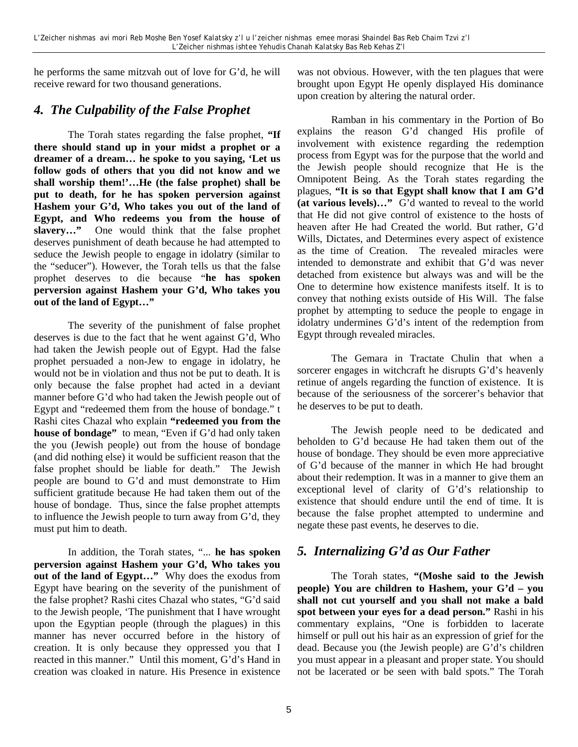he performs the same mitzvah out of love for G'd, he will receive reward for two thousand generations.

## *4. The Culpability of the False Prophet*

The Torah states regarding the false prophet, **"If there should stand up in your midst a prophet or a dreamer of a dream… he spoke to you saying, 'Let us follow gods of others that you did not know and we shall worship them!'…He (the false prophet) shall be put to death, for he has spoken perversion against Hashem your G'd, Who takes you out of the land of Egypt, and Who redeems you from the house of slavery…"** One would think that the false prophet deserves punishment of death because he had attempted to seduce the Jewish people to engage in idolatry (similar to the "seducer"). However, the Torah tells us that the false prophet deserves to die because "**he has spoken perversion against Hashem your G'd, Who takes you out of the land of Egypt…"** 

The severity of the punishment of false prophet deserves is due to the fact that he went against G'd, Who had taken the Jewish people out of Egypt. Had the false prophet persuaded a non-Jew to engage in idolatry, he would not be in violation and thus not be put to death. It is only because the false prophet had acted in a deviant manner before G'd who had taken the Jewish people out of Egypt and "redeemed them from the house of bondage." t Rashi cites Chazal who explain **"redeemed you from the house of bondage"** to mean, "Even if G'd had only taken the you (Jewish people) out from the house of bondage (and did nothing else) it would be sufficient reason that the false prophet should be liable for death." The Jewish people are bound to G'd and must demonstrate to Him sufficient gratitude because He had taken them out of the house of bondage. Thus, since the false prophet attempts to influence the Jewish people to turn away from G'd, they must put him to death.

In addition, the Torah states, "... **he has spoken perversion against Hashem your G'd, Who takes you out of the land of Egypt…"** Why does the exodus from Egypt have bearing on the severity of the punishment of the false prophet? Rashi cites Chazal who states, "G'd said to the Jewish people, 'The punishment that I have wrought upon the Egyptian people (through the plagues) in this manner has never occurred before in the history of creation. It is only because they oppressed you that I reacted in this manner." Until this moment, G'd's Hand in creation was cloaked in nature. His Presence in existence

was not obvious. However, with the ten plagues that were brought upon Egypt He openly displayed His dominance upon creation by altering the natural order.

Ramban in his commentary in the Portion of Bo explains the reason G'd changed His profile of involvement with existence regarding the redemption process from Egypt was for the purpose that the world and the Jewish people should recognize that He is the Omnipotent Being. As the Torah states regarding the plagues, **"It is so that Egypt shall know that I am G'd (at various levels)…"** G'd wanted to reveal to the world that He did not give control of existence to the hosts of heaven after He had Created the world. But rather, G'd Wills, Dictates, and Determines every aspect of existence as the time of Creation. The revealed miracles were intended to demonstrate and exhibit that G'd was never detached from existence but always was and will be the One to determine how existence manifests itself. It is to convey that nothing exists outside of His Will. The false prophet by attempting to seduce the people to engage in idolatry undermines G'd's intent of the redemption from Egypt through revealed miracles.

The Gemara in Tractate Chulin that when a sorcerer engages in witchcraft he disrupts G'd's heavenly retinue of angels regarding the function of existence. It is because of the seriousness of the sorcerer's behavior that he deserves to be put to death.

The Jewish people need to be dedicated and beholden to G'd because He had taken them out of the house of bondage. They should be even more appreciative of G'd because of the manner in which He had brought about their redemption. It was in a manner to give them an exceptional level of clarity of G'd's relationship to existence that should endure until the end of time. It is because the false prophet attempted to undermine and negate these past events, he deserves to die.

## *5. Internalizing G'd as Our Father*

The Torah states, **"(Moshe said to the Jewish people) You are children to Hashem, your G'd – you shall not cut yourself and you shall not make a bald spot between your eyes for a dead person."** Rashi in his commentary explains, "One is forbidden to lacerate himself or pull out his hair as an expression of grief for the dead. Because you (the Jewish people) are G'd's children you must appear in a pleasant and proper state. You should not be lacerated or be seen with bald spots." The Torah